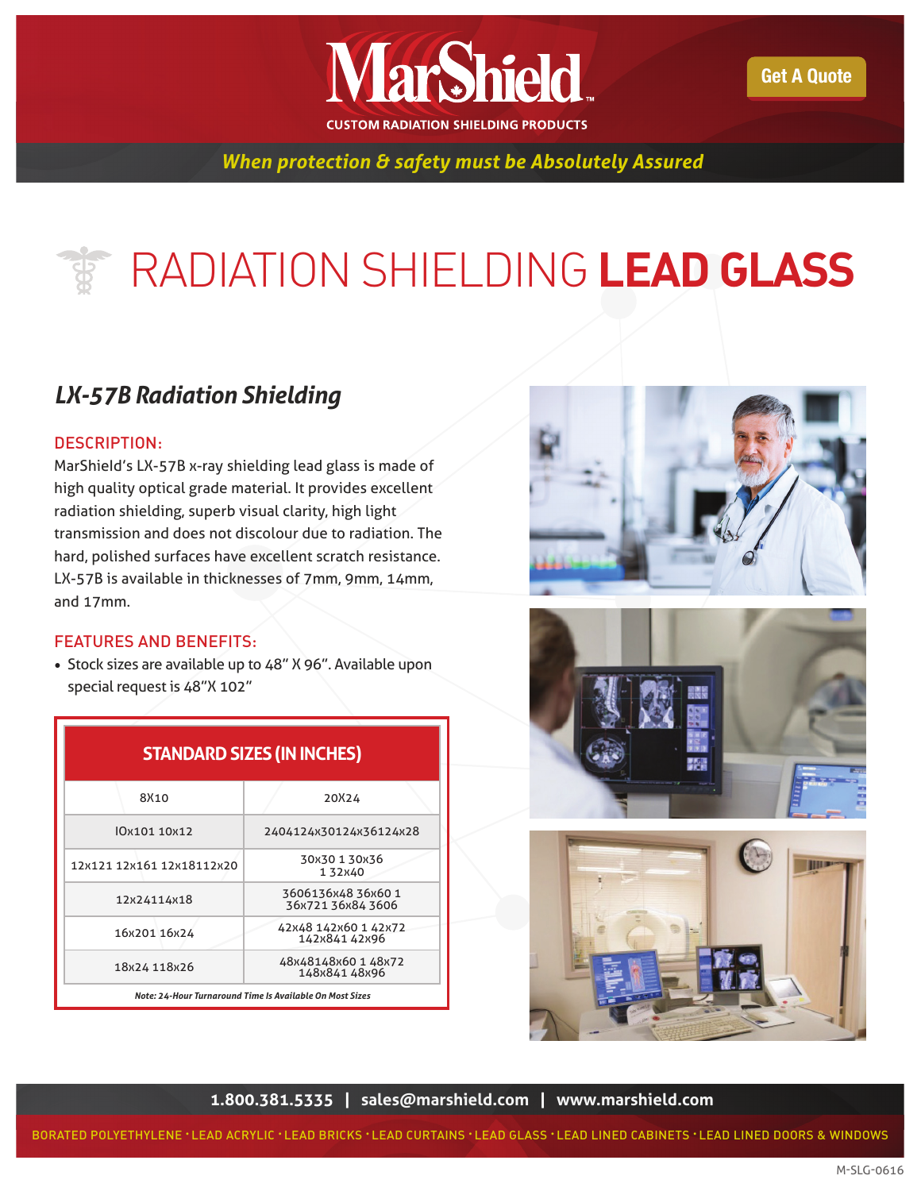

Get A Quote

### *When protection & safety must be Absolutely Assured*

# RADIATION SHIELDING **LEAD GLASS**

### *LX-57B Radiation Shielding*

#### DESCRIPTION:

MarShieId's LX-57B x-ray shielding lead glass is made of high quality optical grade material. It provides excellent radiation shielding, superb visual clarity, high light transmission and does not discolour due to radiation. The hard, polished surfaces have excellent scratch resistance. LX-57B is available in thicknesses of 7mm, 9mm, 14mm, and 17mm.

#### FEATURES AND BENEFITS:

• Stock sizes are available up to 48" X 96". Available upon special request is 48"X 102"

| <b>STANDARD SIZES (IN INCHES)</b> |                                                          |  |
|-----------------------------------|----------------------------------------------------------|--|
| 8X10                              | 20X24                                                    |  |
| 0x101 10x12                       | 2404124x30124x36124x28                                   |  |
| 12x121 12x161 12x18112x20         | 30x30 1 30x36<br>132x40                                  |  |
| 12x24114x18                       | 3606136х48 36х60 1<br>36x721 36x84 3606                  |  |
| 16x201 16x24                      | 42x48 142x60 1 42x72<br>142x841 42x96                    |  |
| 18x24 118x26                      | 48x48148x60 1 48x72<br>148x84148x96                      |  |
|                                   | Note: 24-Hour Turnaround Time Is Available On Most Sizes |  |







**1.800.381.5335 | sales@marshield.com | www.marshield.com**

BORATED POLYETHYLENE • LEAD ACRYLIC • LEAD BRICKS • LEAD CURTAINS • LEAD GLASS • LEAD LINED CABINETS • LEAD LINED DOORS & WINDOWS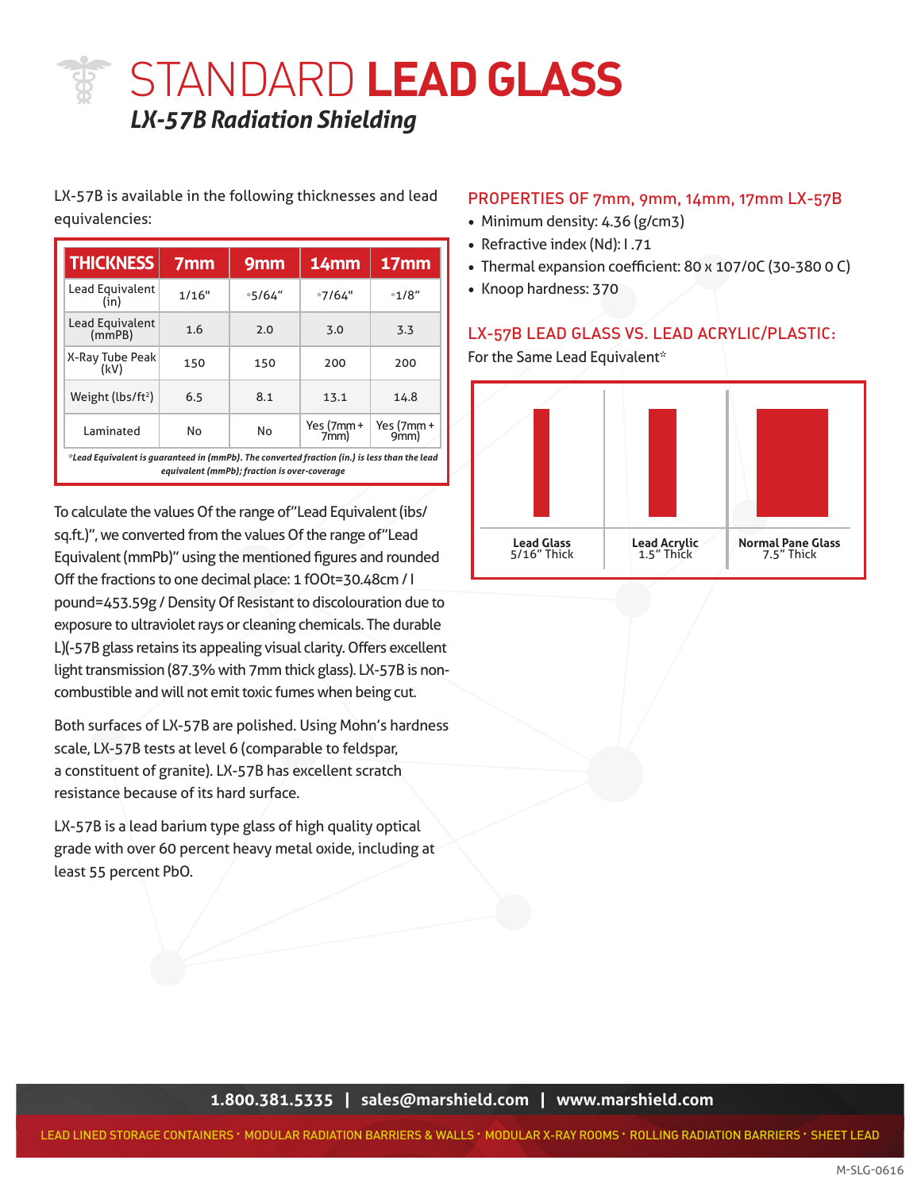STANDARD **LEAD GLASS** *LX-57B Radiation Shielding*

#### LX-57B is available in the following thicknesses and lead equivalencies:

| <b>THICKNESS</b>                                                                             | 7 <sub>mm</sub> | 9 <sub>mm</sub>                              | 14mm              | 17mm                 |
|----------------------------------------------------------------------------------------------|-----------------|----------------------------------------------|-------------------|----------------------|
| Lead Equivalent<br>(in)                                                                      | 1/16"           | $*5/64"$                                     | $*7/64"$          | $*1/8"$              |
| Lead Equivalent<br>(mmpB)                                                                    | 1.6             | 2.0                                          | 3.0               | 3.3                  |
| X-Ray Tube Peak<br>(kV)                                                                      | 150             | 150                                          | 200               | 200                  |
| Weight ( $lbs/ft^2$ )                                                                        | 6.5             | 8.1                                          | 13.1              | 14.8                 |
| Laminated                                                                                    | No              | No                                           | Yes (7mm+<br>7mm) | Yes $(7mm +$<br>9mm) |
| *Lead Equivalent is guaranteed in (mmPb). The converted fraction (in.) is less than the lead |                 | equivalent (mmPb); fraction is over-coverage |                   |                      |

To calculate the values Of the range of "Lead Equivalent (ibs/ sq.ft.)", we converted from the values Of the range of"Lead Equivalent (mmPb)" using the mentioned figures and rounded Off the fractions to one decimal place: 1 fOOt=30.48cm / I pound=453.59g / Density Of Resistant to discolouration due to exposure to ultraviolet rays or cleaning chemicals. The durable L)(-57B glass retains its appealing visual clarity. Offers excellent light transmission (87.3% with 7mm thick glass). LX-57B is noncombustible and will not emit toxic fumes when being cut.

Both surfaces of LX-57B are polished. Using Mohn's hardness scale, LX-57B tests at level 6 (comparable to feldspar, a constituent of granite). LX-57B has excellent scratch resistance because of its hard surface.

LX-57B is a lead barium type glass of high quality optical grade with over 60 percent heavy metal oxide, including at least 55 percent PbO.

#### PROPERTIES OF 7mm, 9mm, 14mm, 17mm LX-57B

- Minimum density: 4.36 (g/cm3)
- Refractive index (Nd): I .71
- Thermal expansion coefficient: 80 x 107/0C (30-380 0 C)
- Knoop hardness: 370

#### LX-57B LEAD GLASS VS. LEAD ACRYLIC/PLASTIC:

For the Same Lead Equivalent\*

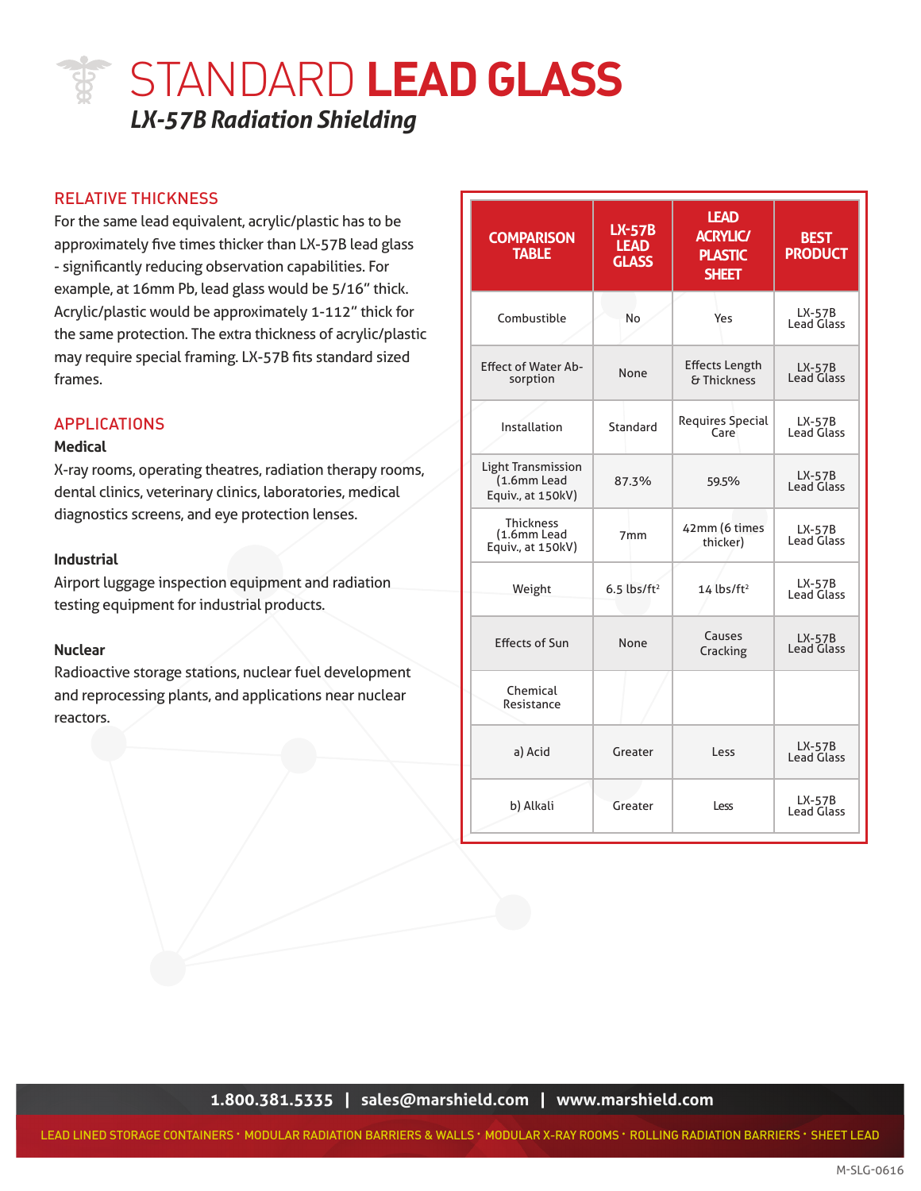## STANDARD **LEAD GLASS** *LX-57B Radiation Shielding*

#### RELATIVE THICKNESS

For the same lead equivalent, acrylic/plastic has to be approximately five times thicker than LX-57B lead glass - significantly reducing observation capabilities. For example, at 16mm Pb, lead glass would be 5/16" thick. Acrylic/plastic would be approximately 1-112" thick for the same protection. The extra thickness of acrylic/plastic may require special framing. LX-57B fits standard sized frames.

#### APPLICATIONS

#### **Medical**

diagnostics screens, and eye protection lenses. X-ray rooms, operating theatres, radiation therapy rooms, dental clinics, veterinary clinics, laboratories, medical

#### **Industrial**

Airport luggage inspection equipment and radiation testing equipment for industrial products.

#### **Nuclear**

Radioactive storage stations, nuclear fuel development and reprocessing plants, and applications near nuclear reactors.

| <b>COMPARISON</b><br><b>TABLE</b>                             | <b>LX-57B</b><br><b>LEAD</b><br><b>GLASS</b> | <b>LEAD</b><br><b>ACRYLIC/</b><br><b>PLASTIC</b><br><b>SHEET</b> | <b>BEST</b><br><b>PRODUCT</b> |
|---------------------------------------------------------------|----------------------------------------------|------------------------------------------------------------------|-------------------------------|
| Combustible                                                   | No                                           | Yes                                                              | $LX-57B$<br>Lead Glass        |
| <b>Effect of Water Ab-</b><br>sorption                        | None                                         | <b>Effects Length</b><br>& Thickness                             | $LX-57B$<br><b>Lead Glass</b> |
| Installation                                                  | Standard                                     | Requires Special<br>Care                                         | $LX-57B$<br><b>Lead Glass</b> |
| <b>Light Transmission</b><br>(1.6mm Lead<br>Equiv., at 150kV) | 87.3%                                        | 59.5%                                                            | $LX-57B$<br><b>Lead Glass</b> |
| <b>Thickness</b><br>(1.6mm Lead<br>Equiv., at 150kV)          | 7 <sub>mm</sub>                              | 42mm (6 times<br>thicker)                                        | LX-57B<br>Lead Glass          |
| Weight                                                        | $6.5$ lbs/ft <sup>2</sup>                    | $14$ lbs/ft <sup>2</sup>                                         | LX-57B<br>Lead Glass          |
| <b>Effects of Sun</b>                                         | None                                         | Causes<br>Cracking                                               | LX-57B<br>Lead Glass          |
| Chemical<br>Resistance                                        |                                              |                                                                  |                               |
| a) Acid                                                       | Greater                                      | Less                                                             | $LX-57B$<br><b>Lead Glass</b> |
| b) Alkali                                                     | Greater                                      | Less                                                             | $LX-57B$<br><b>Lead Glass</b> |

**1.800.381.5335 | sales@marshield.com | www.marshield.com**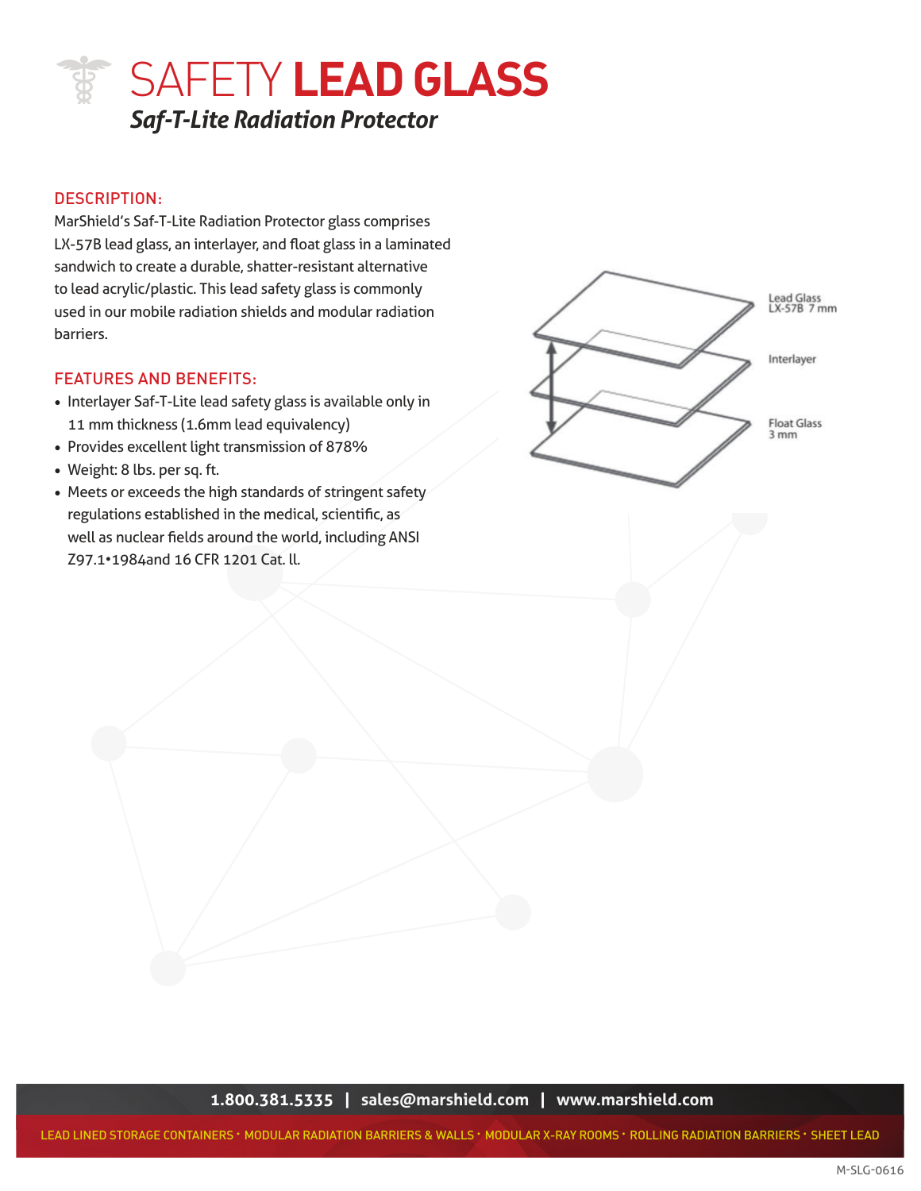

#### DESCRIPTION:

MarShield's Saf-T-Lite Radiation Protector glass comprises LX-57B lead glass, an interlayer, and float glass in a laminated sandwich to create a durable, shatter-resistant alternative to lead acrylic/plastic. This lead safety glass is commonly used in our mobile radiation shields and modular radiation barriers.

#### FEATURES AND BENEFITS:

- Interlayer Saf-T-Lite lead safety glass is available only in 11 mm thickness (1.6mm lead equivalency)
- Provides excellent light transmission of 878%
- Weight: 8 lbs. per sq. ft.
- **TRUSTED FOR OVER 35 YEARS.** THE MILL STATE OF THE SERVICE OF STATES OF THE SERVICE OF STATES AND THE MILL STATES OF THE SERVICE OF THE SERVICE OF THE SERVICE OF THE SERVICE OF THE SERVICE OF THE SERVICE OF THE SERVICE OF • Meets or exceeds the high standards of stringent safety well as nuclear fields around the world, including ANSI Z97.1•1984and 16 CFR 1201 Cat. ll.



**1.800.381.5335 | sales@marshield.com | www.marshield.com**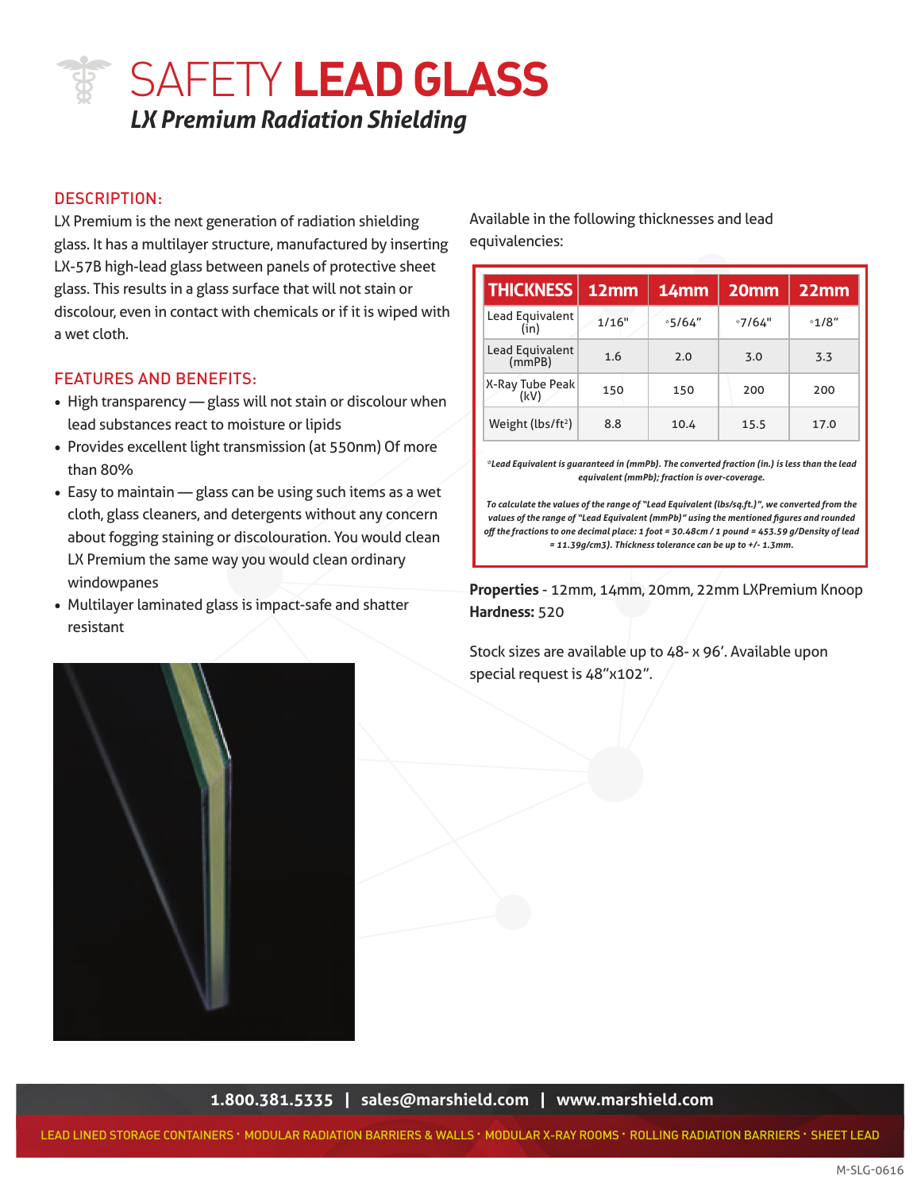## SAFETY **LEAD GLASS** *LX Premium Radiation Shielding*

#### DESCRIPTION:

LX Premium is the next generation of radiation shielding glass. It has a multilayer structure, manufactured by inserting LX-57B high-lead glass between panels of protective sheet glass. This results in a glass surface that will not stain or discolour, even in contact with chemicals or if it is wiped with a wet cloth.

#### FEATURES AND BENEFITS:

- High transparency glass will not stain or discolour when lead substances react to moisture or lipids
- Provides excellent light transmission (at 550nm) Of more than 80%
- To calculate the values of the ran cloth, glass cleaners, and detergents without any concern • Easy to maintain — glass can be using such items as a wet about fogging staining or discolouration. You would clean LX Premium the same way you would clean ordinary windowpanes
- Multilayer laminated glass is impact-safe and shatter resistant

Available in the following thicknesses and lead equivalencies:

| <b>THICKNESS</b>          | 12mm  | 14mm     | 20 <sub>mm</sub> | $22$ mm |
|---------------------------|-------|----------|------------------|---------|
| Lead Equivalent<br>(in)   | 1/16" | $*5/64"$ | $*7/64"$         | $*1/8"$ |
| Lead Equivalent<br>(mmPB) | 1.6   | 2.0      | 3.0              | 3.3     |
| X-Ray Tube Peak<br>(kV)   | 150   | 150      | 200              | 200     |
| Weight ( $lbs/ft^2$ )     | 8.8   | 10.4     | 15.5             | 17.0    |

*\*Lead Equivalent is guaranteed in (mmPb). The converted fraction (in.) is less than the lead equivalent (mmPb); fraction is over-coverage.*

*To calculate the values of the range of "Lead Equivalent (lbs/sq.ft.)", we converted from the values of the range of "Lead Equivalent (mmPb)" using the mentioned figures and rounded off the fractions to one decimal place: 1 foot = 30.48cm / 1 pound = 453.59 g/Density of lead = 11.39g/cm3). Thickness tolerance can be up to +/- 1.3mm.*

**Properties** - 12mm, 14mm, 20mm, 22mm LXPremium Knoop **Hardness:** 520

Stock sizes are available up to 48- x 96'. Available upon special request is 48"x102".



**1.800.381.5335 | sales@marshield.com | www.marshield.com**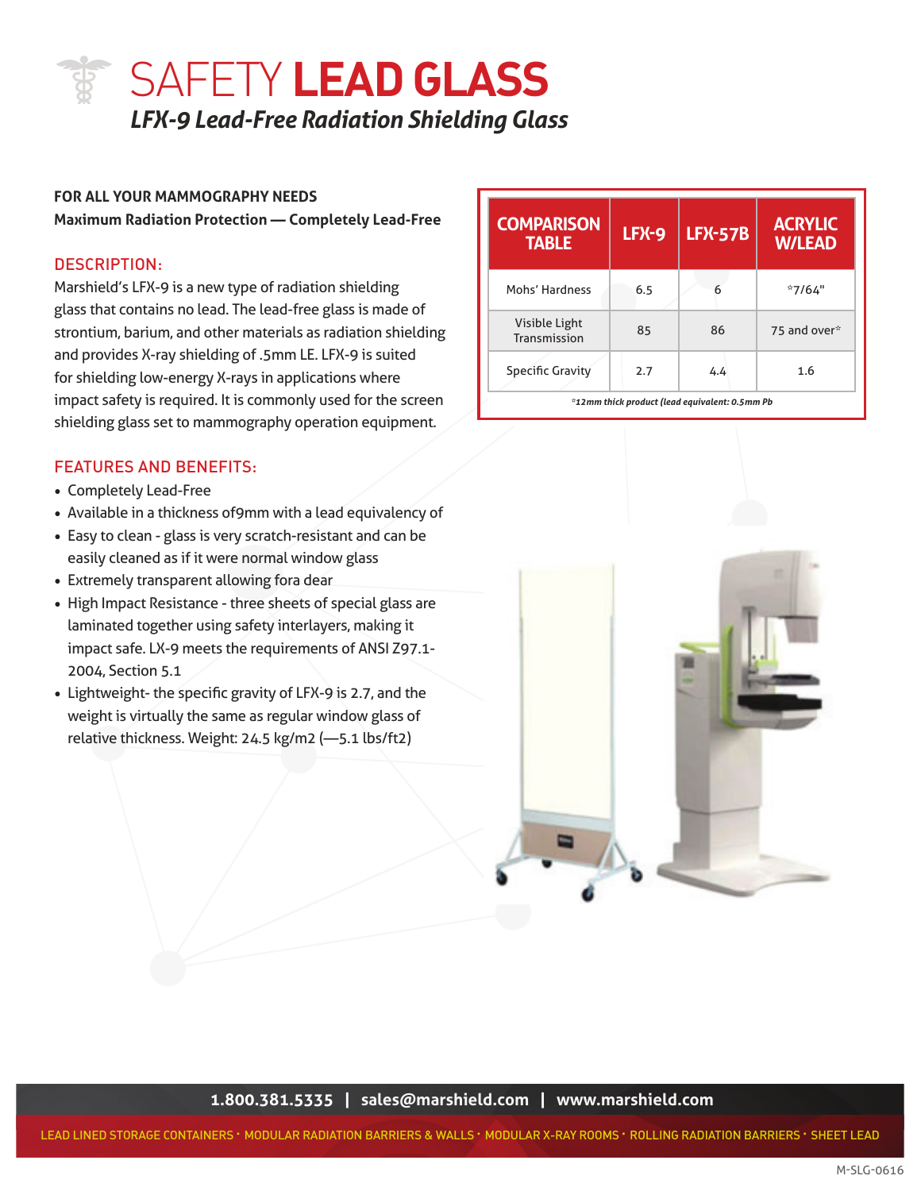## SAFETY **LEAD GLASS** *LFX-9 Lead-Free Radiation Shielding Glass*

#### **FOR ALL YOUR MAMMOGRAPHY NEEDS**

**Maximum Radiation Protection — Completely Lead-Free**

#### DESCRIPTION:

Marshield's LFX-9 is a new type of radiation shielding glass that contains no lead. The lead-free glass is made of strontium, barium, and other materials as radiation shielding and provides X-ray shielding of .5mm LE. LFX-9 is suited for shielding low-energy X-rays in applications where impact safety is required. It is commonly used for the screen shielding glass set to mammography operation equipment.

#### FEATURES AND BENEFITS:

- Completely Lead-Free
- Available in a thickness of9mm with a lead equivalency of
- Easy to clean glass is very scratch-resistant and can be easily cleaned as if it were normal window glass
- Extremely transparent allowing fora dear
- High Impact Resistance three sheets of special glass are laminated together using safety interlayers, making it impact safe. LX-9 meets the requirements of ANSI Z97.1- 2004, Section 5.1
- Lightweight- the specific gravity of LFX-9 is 2.7, and the weight is virtually the same as regular window glass of relative thickness. Weight: 24.5 kg/m2 (—5.1 lbs/ft2)

| <b>COMPARISON</b><br><b>TABLE</b> | <b>LFX-9</b> | <b>LFX-57B</b>                                 | <b>ACRYLIC</b><br><b>W/LEAD</b> |
|-----------------------------------|--------------|------------------------------------------------|---------------------------------|
| Mohs' Hardness                    | 6.5          | 6                                              | $*7/64"$                        |
| Visible Light<br>Transmission     | 85           | 86                                             | 75 and over*                    |
| <b>Specific Gravity</b>           | 2.7          | 4.4                                            | 1.6                             |
|                                   |              | *12mm thick product (lead equivalent: 0.5mm Pb |                                 |



**1.800.381.5335 | sales@marshield.com | www.marshield.com**